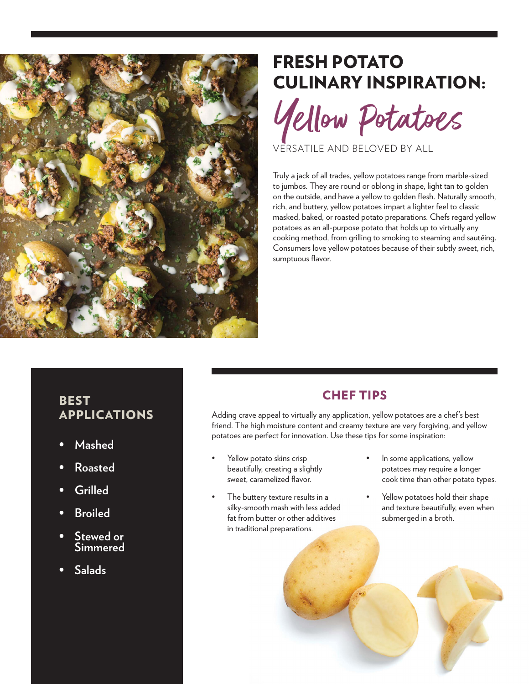

# FRESH POTATO CULINARY INSPIRATION:

Yellow Potatoes

VERSATILE AND BELOVED BY ALL

Truly a jack of all trades, yellow potatoes range from marble-sized to jumbos. They are round or oblong in shape, light tan to golden on the outside, and have a yellow to golden flesh. Naturally smooth, rich, and buttery, yellow potatoes impart a lighter feel to classic masked, baked, or roasted potato preparations. Chefs regard yellow potatoes as an all-purpose potato that holds up to virtually any cooking method, from grilling to smoking to steaming and sautéing. Consumers love yellow potatoes because of their subtly sweet, rich, sumptuous flavor.

# **BEST** APPLICATIONS

- **• Mashed**
- **• Roasted**
- **• Grilled**
- **• Broiled**
- **• Stewed or Simmered**
- **• Salads**

## CHEF TIPS

Adding crave appeal to virtually any application, yellow potatoes are a chef's best friend. The high moisture content and creamy texture are very forgiving, and yellow potatoes are perfect for innovation. Use these tips for some inspiration:

- Yellow potato skins crisp beautifully, creating a slightly sweet, caramelized flavor.
- The buttery texture results in a silky-smooth mash with less added fat from butter or other additives in traditional preparations.
- In some applications, yellow potatoes may require a longer cook time than other potato types.
- Yellow potatoes hold their shape and texture beautifully, even when submerged in a broth.